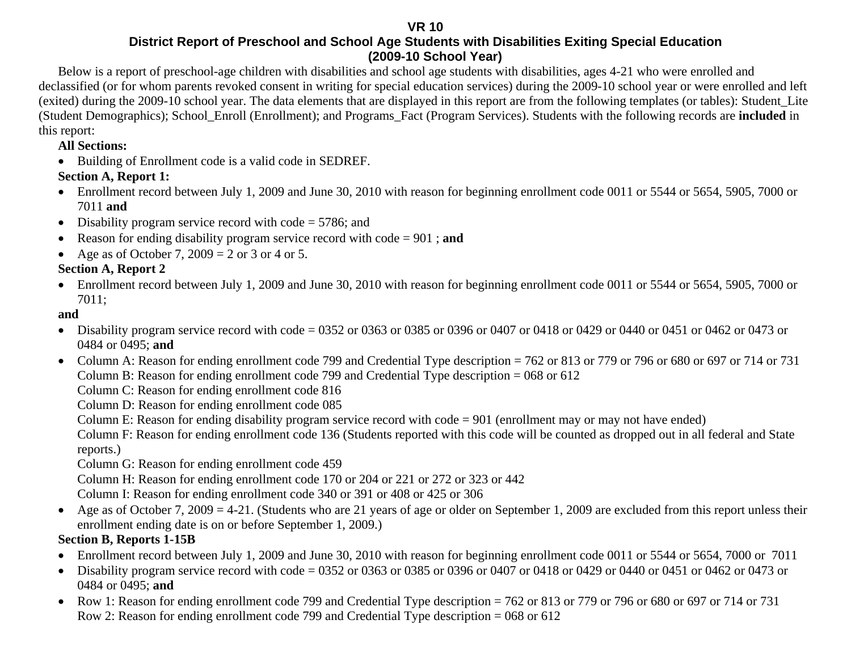**VR 10** 

#### **District Report of Preschool and School Age Students with Disabilities Exiting Special Education (2009-10 School Year)**

Below is a report of preschool-age children with disabilities and school age students with disabilities, ages 4-21 who were enrolled and declassified (or for whom parents revoked consent in writing for special education services) during the 2009-10 school year or were enrolled and left (exited) during the 2009-10 school year. The data elements that are displayed in this report are from the following templates (or tables): Student\_Lite (Student Demographics); School\_Enroll (Enrollment); and Programs\_Fact (Program Services). Students with the following records are **included** in this report:

#### **All Sections:**

• Building of Enrollment code is a valid code in SEDREF.

### **Section A, Report 1:**

- Enrollment record between July 1, 2009 and June 30, 2010 with reason for beginning enrollment code 0011 or 5544 or 5654, 5905, 7000 or 7011 **and**
- Disability program service record with code = 5786; and
- •Reason for ending disability program service record with code = 901 ; **and**
- Age as of October 7,  $2009 = 2$  or 3 or 4 or 5.

### **Section A, Report 2**

• Enrollment record between July 1, 2009 and June 30, 2010 with reason for beginning enrollment code 0011 or 5544 or 5654, 5905, 7000 or 7011;

### **and**

- Disability program service record with code = 0352 or 0363 or 0385 or 0396 or 0407 or 0418 or 0429 or 0440 or 0451 or 0462 or 0473 or 0484 or 0495; **and**
- Column A: Reason for ending enrollment code 799 and Credential Type description = 762 or 813 or 779 or 796 or 680 or 697 or 714 or 731 Column B: Reason for ending enrollment code 799 and Credential Type description = 068 or 612

Column C: Reason for ending enrollment code 816

Column D: Reason for ending enrollment code 085

Column E: Reason for ending disability program service record with code = 901 (enrollment may or may not have ended)

Column F: Reason for ending enrollment code 136 (Students reported with this code will be counted as dropped out in all federal and State reports.)

Column G: Reason for ending enrollment code 459

Column H: Reason for ending enrollment code 170 or 204 or 221 or 272 or 323 or 442

Column I: Reason for ending enrollment code 340 or 391 or 408 or 425 or 306

• Age as of October 7, 2009 = 4-21. (Students who are 21 years of age or older on September 1, 2009 are excluded from this report unless their enrollment ending date is on or before September 1, 2009.)

### **Section B, Reports 1-15B**

- Enrollment record between July 1, 2009 and June 30, 2010 with reason for beginning enrollment code 0011 or 5544 or 5654, 7000 or 7011
- Disability program service record with code = 0352 or 0363 or 0385 or 0396 or 0407 or 0418 or 0429 or 0440 or 0451 or 0462 or 0473 or 0484 or 0495; **and**
- Row 1: Reason for ending enrollment code 799 and Credential Type description = 762 or 813 or 779 or 796 or 680 or 697 or 714 or 731 Row 2: Reason for ending enrollment code 799 and Credential Type description = 068 or 612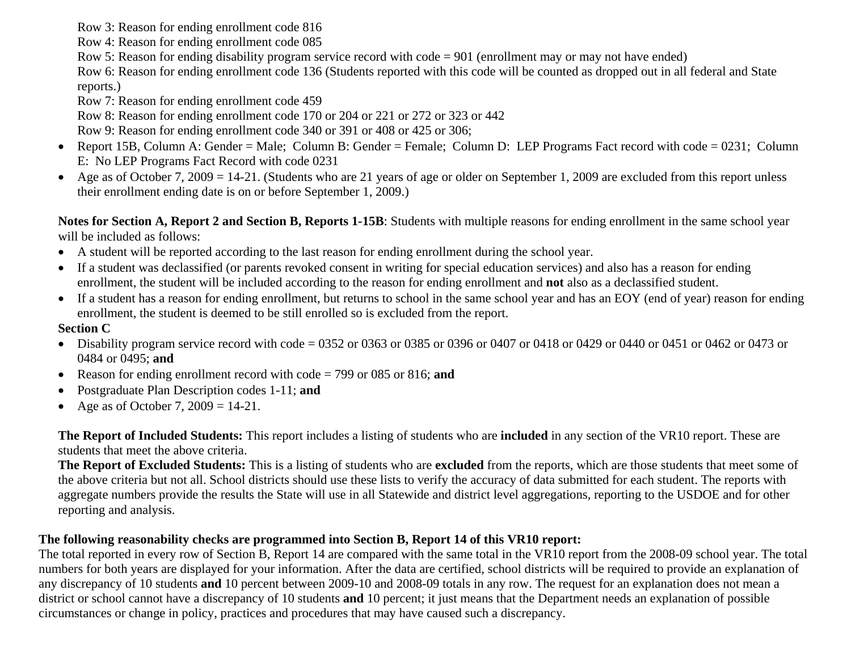Row 3: Reason for ending enrollment code 816

Row 4: Reason for ending enrollment code 085

Row 5: Reason for ending disability program service record with code = 901 (enrollment may or may not have ended)

 Row 6: Reason for ending enrollment code 136 (Students reported with this code will be counted as dropped out in all federal and State reports.)

Row 7: Reason for ending enrollment code 459

Row 8: Reason for ending enrollment code 170 or 204 or 221 or 272 or 323 or 442

Row 9: Reason for ending enrollment code 340 or 391 or 408 or 425 or 306;

- Report 15B, Column A: Gender = Male; Column B: Gender = Female; Column D: LEP Programs Fact record with code = 0231; Column E: No LEP Programs Fact Record with code 0231
- •Age as of October 7, 2009 = 14-21. (Students who are 21 years of age or older on September 1, 2009 are excluded from this report unless their enrollment ending date is on or before September 1, 2009.)

**Notes for Section A, Report 2 and Section B, Reports 1-15B**: Students with multiple reasons for ending enrollment in the same school year will be included as follows:

- A student will be reported according to the last reason for ending enrollment during the school year.
- If a student was declassified (or parents revoked consent in writing for special education services) and also has a reason for ending enrollment, the student will be included according to the reason for ending enrollment and **not** also as a declassified student.
- If a student has a reason for ending enrollment, but returns to school in the same school year and has an EOY (end of year) reason for ending enrollment, the student is deemed to be still enrolled so is excluded from the report.

#### **Section C**

- Disability program service record with code = 0352 or 0363 or 0385 or 0396 or 0407 or 0418 or 0429 or 0440 or 0451 or 0462 or 0473 or 0484 or 0495; **and**
- Reason for ending enrollment record with code = 799 or 085 or 816; **and**
- •Postgraduate Plan Description codes 1-11; **and**
- $\bullet$ Age as of October 7,  $2009 = 14-21$ .

**The Report of Included Students:** This report includes a listing of students who are **included** in any section of the VR10 report. These are students that meet the above criteria.

**The Report of Excluded Students:** This is a listing of students who are **excluded** from the reports, which are those students that meet some of the above criteria but not all. School districts should use these lists to verify the accuracy of data submitted for each student. The reports with aggregate numbers provide the results the State will use in all Statewide and district level aggregations, reporting to the USDOE and for other reporting and analysis.

#### **The following reasonability checks are programmed into Section B, Report 14 of this VR10 report:**

The total reported in every row of Section B, Report 14 are compared with the same total in the VR10 report from the 2008-09 school year. The total numbers for both years are displayed for your information. After the data are certified, school districts will be required to provide an explanation of any discrepancy of 10 students **and** 10 percent between 2009-10 and 2008-09 totals in any row. The request for an explanation does not mean a district or school cannot have a discrepancy of 10 students **and** 10 percent; it just means that the Department needs an explanation of possible circumstances or change in policy, practices and procedures that may have caused such a discrepancy.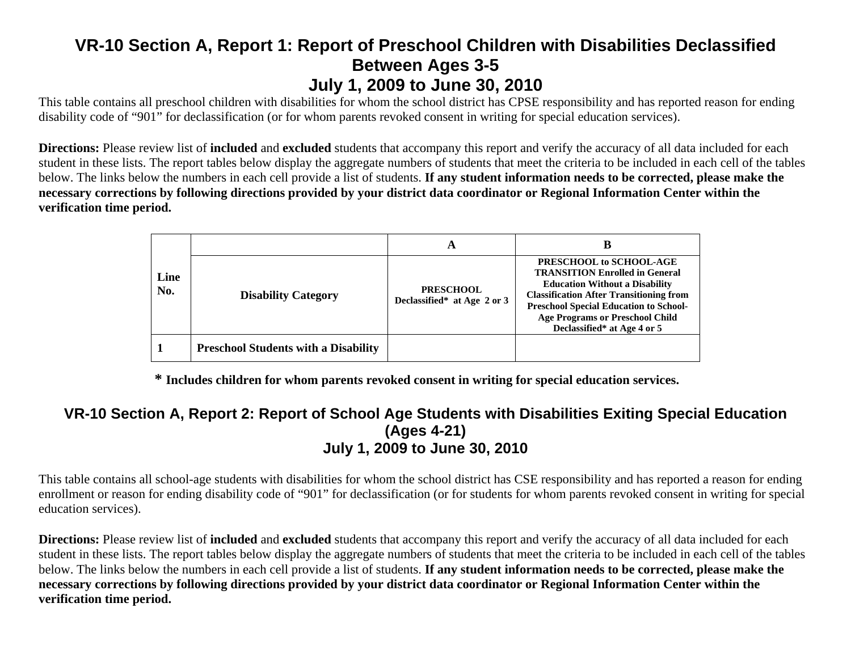# **VR-10 Section A, Report 1: Report of Preschool Children with Disabilities Declassified Between Ages 3-5 July 1, 2009 to June 30, 2010**

This table contains all preschool children with disabilities for whom the school district has CPSE responsibility and has reported reason for ending disability code of "901" for declassification (or for whom parents revoked consent in writing for special education services).

**Directions:** Please review list of **included** and **excluded** students that accompany this report and verify the accuracy of all data included for each student in these lists. The report tables below display the aggregate numbers of students that meet the criteria to be included in each cell of the tables below. The links below the numbers in each cell provide a list of students. **If any student information needs to be corrected, please make the necessary corrections by following directions provided by your district data coordinator or Regional Information Center within the verification time period.**

|             |                                             | A                                               | В                                                                                                                                                                                                                                                                                     |
|-------------|---------------------------------------------|-------------------------------------------------|---------------------------------------------------------------------------------------------------------------------------------------------------------------------------------------------------------------------------------------------------------------------------------------|
| Line<br>No. | <b>Disability Category</b>                  | <b>PRESCHOOL</b><br>Declassified* at Age 2 or 3 | PRESCHOOL to SCHOOL-AGE<br><b>TRANSITION Enrolled in General</b><br><b>Education Without a Disability</b><br><b>Classification After Transitioning from</b><br><b>Preschool Special Education to School-</b><br><b>Age Programs or Preschool Child</b><br>Declassified* at Age 4 or 5 |
|             | <b>Preschool Students with a Disability</b> |                                                 |                                                                                                                                                                                                                                                                                       |

**\* Includes children for whom parents revoked consent in writing for special education services.** 

#### **VR-10 Section A, Report 2: Report of School Age Students with Disabilities Exiting Special Education (Ages 4-21) July 1, 2009 to June 30, 2010**

This table contains all school-age students with disabilities for whom the school district has CSE responsibility and has reported a reason for ending enrollment or reason for ending disability code of "901" for declassification (or for students for whom parents revoked consent in writing for special education services).

**Directions:** Please review list of **included** and **excluded** students that accompany this report and verify the accuracy of all data included for each student in these lists. The report tables below display the aggregate numbers of students that meet the criteria to be included in each cell of the tables below. The links below the numbers in each cell provide a list of students. **If any student information needs to be corrected, please make the necessary corrections by following directions provided by your district data coordinator or Regional Information Center within the verification time period.**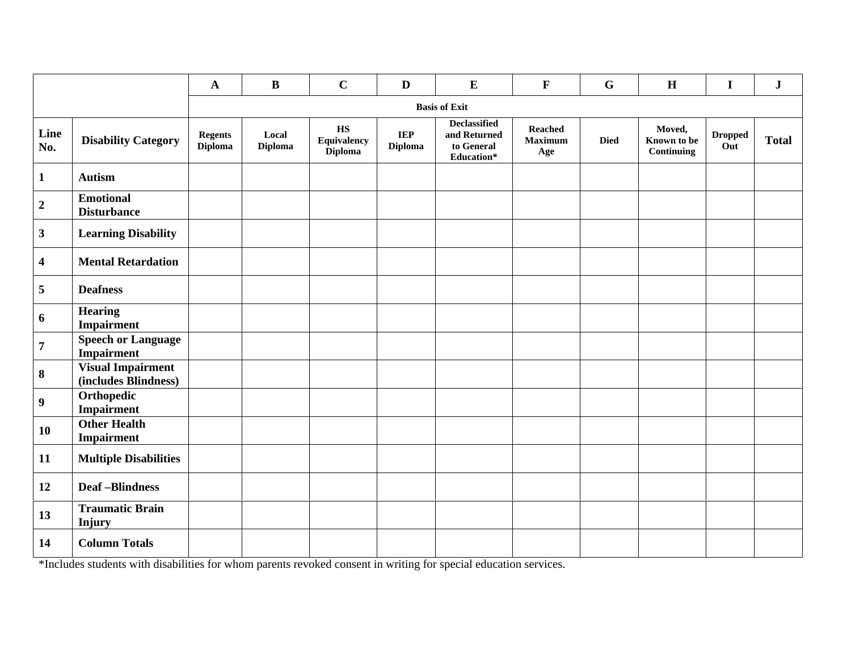|                         |                                                  | $\mathbf A$                      | $\bf{B}$                | $\mathbf C$                                                    | $\mathbf{D}$                 | ${\bf E}$                                                | $\mathbf F$                             | $\mathbf G$ | $\mathbf H$                         | $\mathbf I$           | ${\bf J}$    |
|-------------------------|--------------------------------------------------|----------------------------------|-------------------------|----------------------------------------------------------------|------------------------------|----------------------------------------------------------|-----------------------------------------|-------------|-------------------------------------|-----------------------|--------------|
|                         |                                                  |                                  |                         |                                                                |                              | <b>Basis of Exit</b>                                     |                                         |             |                                     |                       |              |
| Line<br>No.             | <b>Disability Category</b>                       | <b>Regents</b><br><b>Diploma</b> | Local<br><b>Diploma</b> | $\mathbf{H}\mathbf{S}$<br><b>Equivalency</b><br><b>Diploma</b> | <b>IEP</b><br><b>Diploma</b> | Declassified<br>and Returned<br>to General<br>Education* | <b>Reached</b><br><b>Maximum</b><br>Age | <b>Died</b> | Moved,<br>Known to be<br>Continuing | <b>Dropped</b><br>Out | <b>Total</b> |
| $\mathbf{1}$            | <b>Autism</b>                                    |                                  |                         |                                                                |                              |                                                          |                                         |             |                                     |                       |              |
| $\mathbf 2$             | <b>Emotional</b><br><b>Disturbance</b>           |                                  |                         |                                                                |                              |                                                          |                                         |             |                                     |                       |              |
| $\mathbf{3}$            | <b>Learning Disability</b>                       |                                  |                         |                                                                |                              |                                                          |                                         |             |                                     |                       |              |
| $\overline{\mathbf{4}}$ | <b>Mental Retardation</b>                        |                                  |                         |                                                                |                              |                                                          |                                         |             |                                     |                       |              |
| 5                       | <b>Deafness</b>                                  |                                  |                         |                                                                |                              |                                                          |                                         |             |                                     |                       |              |
| 6                       | <b>Hearing</b><br>Impairment                     |                                  |                         |                                                                |                              |                                                          |                                         |             |                                     |                       |              |
| $\overline{7}$          | <b>Speech or Language</b><br>Impairment          |                                  |                         |                                                                |                              |                                                          |                                         |             |                                     |                       |              |
| $\bf{8}$                | <b>Visual Impairment</b><br>(includes Blindness) |                                  |                         |                                                                |                              |                                                          |                                         |             |                                     |                       |              |
| $\boldsymbol{9}$        | Orthopedic<br><b>Impairment</b>                  |                                  |                         |                                                                |                              |                                                          |                                         |             |                                     |                       |              |
| 10                      | <b>Other Health</b><br>Impairment                |                                  |                         |                                                                |                              |                                                          |                                         |             |                                     |                       |              |
| 11                      | <b>Multiple Disabilities</b>                     |                                  |                         |                                                                |                              |                                                          |                                         |             |                                     |                       |              |
| 12                      | <b>Deaf-Blindness</b>                            |                                  |                         |                                                                |                              |                                                          |                                         |             |                                     |                       |              |
| 13                      | <b>Traumatic Brain</b><br>Injury                 |                                  |                         |                                                                |                              |                                                          |                                         |             |                                     |                       |              |
| 14                      | <b>Column Totals</b>                             |                                  |                         |                                                                |                              |                                                          |                                         |             |                                     |                       |              |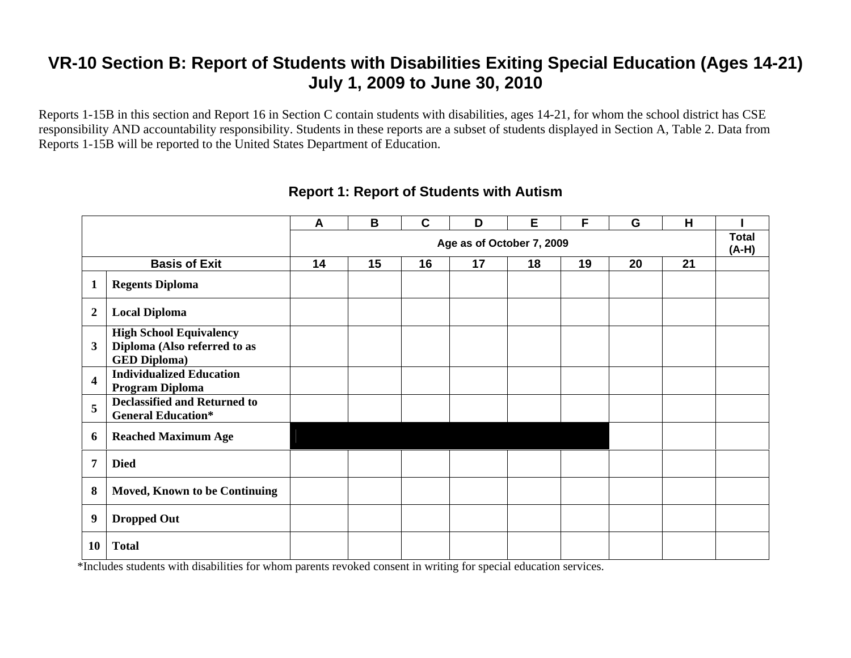Reports 1-15B in this section and Report 16 in Section C contain students with disabilities, ages 14-21, for whom the school district has CSE responsibility AND accountability responsibility. Students in these reports are a subset of students displayed in Section A, Table 2. Data from Reports 1-15B will be reported to the United States Department of Education.

|                         |                                                                                       | A  | B  | $\mathbf C$ | D                         | Е  | F  | G  | H  |                         |
|-------------------------|---------------------------------------------------------------------------------------|----|----|-------------|---------------------------|----|----|----|----|-------------------------|
|                         |                                                                                       |    |    |             | Age as of October 7, 2009 |    |    |    |    | <b>Total</b><br>$(A-H)$ |
|                         | <b>Basis of Exit</b>                                                                  | 14 | 15 | 16          | 17                        | 18 | 19 | 20 | 21 |                         |
| 1                       | <b>Regents Diploma</b>                                                                |    |    |             |                           |    |    |    |    |                         |
| $\boldsymbol{2}$        | <b>Local Diploma</b>                                                                  |    |    |             |                           |    |    |    |    |                         |
| 3                       | <b>High School Equivalency</b><br>Diploma (Also referred to as<br><b>GED Diploma)</b> |    |    |             |                           |    |    |    |    |                         |
| $\overline{\mathbf{4}}$ | <b>Individualized Education</b><br>Program Diploma                                    |    |    |             |                           |    |    |    |    |                         |
| 5                       | <b>Declassified and Returned to</b><br><b>General Education*</b>                      |    |    |             |                           |    |    |    |    |                         |
| 6                       | <b>Reached Maximum Age</b>                                                            |    |    |             |                           |    |    |    |    |                         |
| 7                       | <b>Died</b>                                                                           |    |    |             |                           |    |    |    |    |                         |
| 8                       | Moved, Known to be Continuing                                                         |    |    |             |                           |    |    |    |    |                         |
| 9                       | <b>Dropped Out</b>                                                                    |    |    |             |                           |    |    |    |    |                         |
| 10                      | <b>Total</b>                                                                          |    |    |             |                           |    |    |    |    |                         |

#### **Report 1: Report of Students with Autism**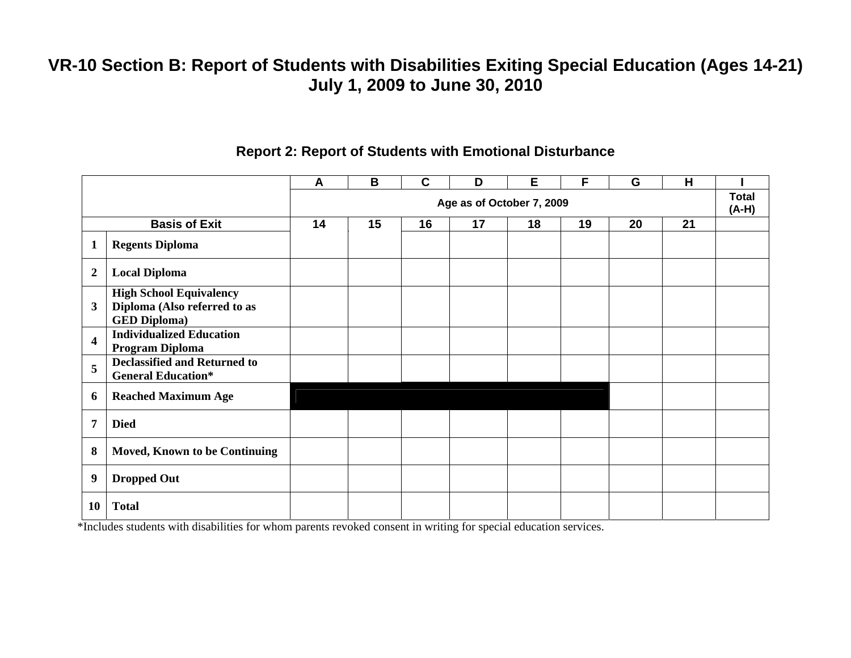|                         |                                                                                       | A  | B  | $\mathbf c$ | D                         | E  | F  | G  | H  |                       |
|-------------------------|---------------------------------------------------------------------------------------|----|----|-------------|---------------------------|----|----|----|----|-----------------------|
|                         |                                                                                       |    |    |             | Age as of October 7, 2009 |    |    |    |    | <b>Total</b><br>(A-H) |
|                         | <b>Basis of Exit</b>                                                                  | 14 | 15 | 16          | 17                        | 18 | 19 | 20 | 21 |                       |
| 1                       | <b>Regents Diploma</b>                                                                |    |    |             |                           |    |    |    |    |                       |
| $\boldsymbol{2}$        | <b>Local Diploma</b>                                                                  |    |    |             |                           |    |    |    |    |                       |
| 3                       | <b>High School Equivalency</b><br>Diploma (Also referred to as<br><b>GED Diploma)</b> |    |    |             |                           |    |    |    |    |                       |
| $\overline{\mathbf{4}}$ | <b>Individualized Education</b><br>Program Diploma                                    |    |    |             |                           |    |    |    |    |                       |
| 5                       | <b>Declassified and Returned to</b><br><b>General Education*</b>                      |    |    |             |                           |    |    |    |    |                       |
| 6                       | <b>Reached Maximum Age</b>                                                            |    |    |             |                           |    |    |    |    |                       |
| 7                       | <b>Died</b>                                                                           |    |    |             |                           |    |    |    |    |                       |
| 8                       | Moved, Known to be Continuing                                                         |    |    |             |                           |    |    |    |    |                       |
| 9                       | <b>Dropped Out</b>                                                                    |    |    |             |                           |    |    |    |    |                       |
| 10                      | <b>Total</b>                                                                          |    |    |             |                           |    |    |    |    |                       |

#### **Report 2: Report of Students with Emotional Disturbance**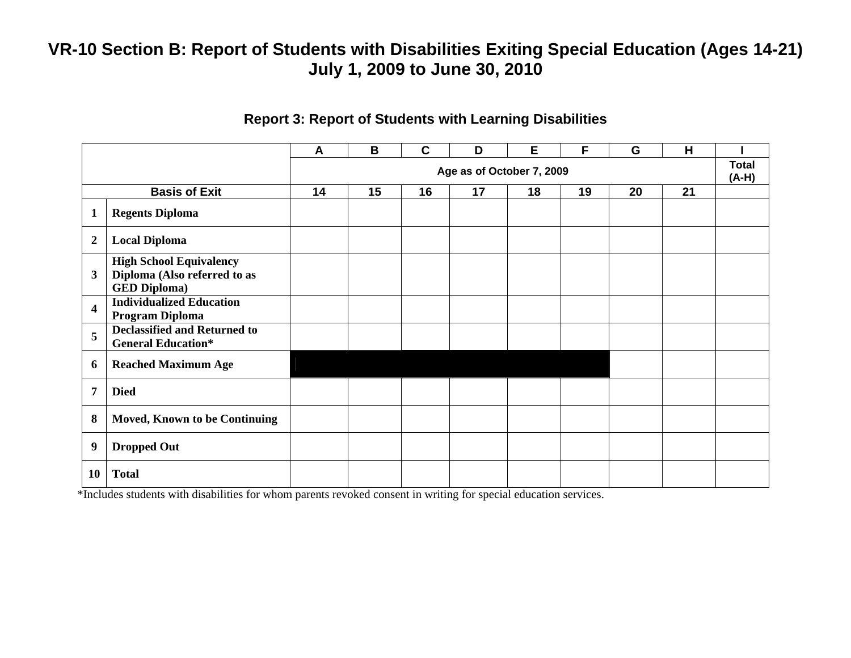|                         |                                                                                       | A  | B  | $\mathbf C$ | D                         | E  | F  | G  | H  |                         |
|-------------------------|---------------------------------------------------------------------------------------|----|----|-------------|---------------------------|----|----|----|----|-------------------------|
|                         |                                                                                       |    |    |             | Age as of October 7, 2009 |    |    |    |    | <b>Total</b><br>$(A-H)$ |
|                         | <b>Basis of Exit</b>                                                                  | 14 | 15 | 16          | 17                        | 18 | 19 | 20 | 21 |                         |
| $\mathbf{1}$            | <b>Regents Diploma</b>                                                                |    |    |             |                           |    |    |    |    |                         |
| $\boldsymbol{2}$        | <b>Local Diploma</b>                                                                  |    |    |             |                           |    |    |    |    |                         |
| 3                       | <b>High School Equivalency</b><br>Diploma (Also referred to as<br><b>GED Diploma)</b> |    |    |             |                           |    |    |    |    |                         |
| $\overline{\mathbf{4}}$ | <b>Individualized Education</b><br>Program Diploma                                    |    |    |             |                           |    |    |    |    |                         |
| 5                       | <b>Declassified and Returned to</b><br><b>General Education*</b>                      |    |    |             |                           |    |    |    |    |                         |
| 6                       | <b>Reached Maximum Age</b>                                                            |    |    |             |                           |    |    |    |    |                         |
| 7                       | <b>Died</b>                                                                           |    |    |             |                           |    |    |    |    |                         |
| 8                       | <b>Moved, Known to be Continuing</b>                                                  |    |    |             |                           |    |    |    |    |                         |
| 9                       | <b>Dropped Out</b>                                                                    |    |    |             |                           |    |    |    |    |                         |
| 10                      | <b>Total</b>                                                                          |    |    |             |                           |    |    |    |    |                         |

#### **Report 3: Report of Students with Learning Disabilities**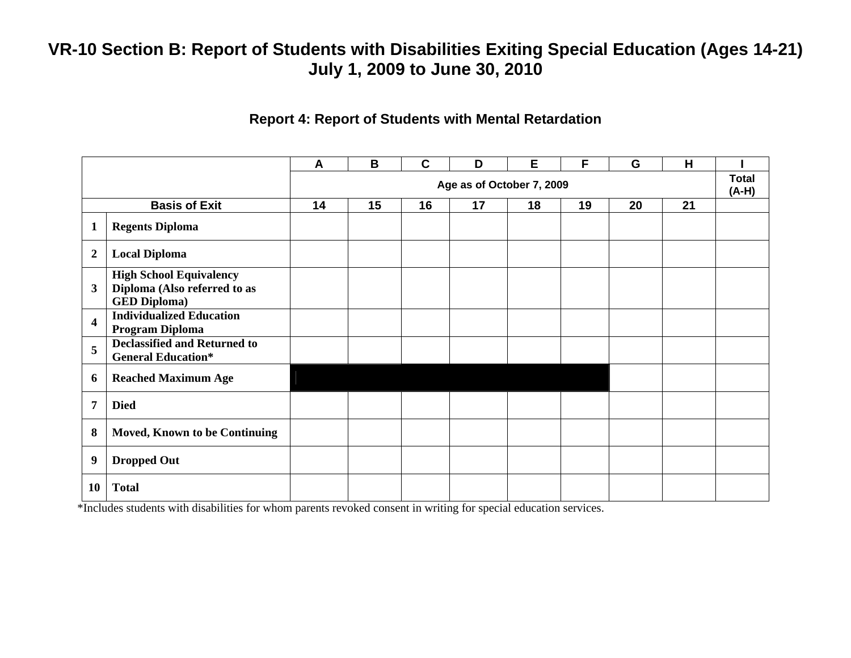#### **Report 4: Report of Students with Mental Retardation**

|                         |                                                                                       | A  | B  | $\mathbf c$ | D  | E                         | F  | G  | H  |  |  |
|-------------------------|---------------------------------------------------------------------------------------|----|----|-------------|----|---------------------------|----|----|----|--|--|
|                         |                                                                                       |    |    |             |    | Age as of October 7, 2009 |    |    |    |  |  |
|                         | <b>Basis of Exit</b>                                                                  | 14 | 15 | 16          | 17 | 18                        | 19 | 20 | 21 |  |  |
| $\mathbf{1}$            | <b>Regents Diploma</b>                                                                |    |    |             |    |                           |    |    |    |  |  |
| $\overline{2}$          | <b>Local Diploma</b>                                                                  |    |    |             |    |                           |    |    |    |  |  |
| $\mathbf{3}$            | <b>High School Equivalency</b><br>Diploma (Also referred to as<br><b>GED Diploma)</b> |    |    |             |    |                           |    |    |    |  |  |
| $\overline{\mathbf{4}}$ | <b>Individualized Education</b><br>Program Diploma                                    |    |    |             |    |                           |    |    |    |  |  |
| 5                       | <b>Declassified and Returned to</b><br><b>General Education*</b>                      |    |    |             |    |                           |    |    |    |  |  |
| 6                       | <b>Reached Maximum Age</b>                                                            |    |    |             |    |                           |    |    |    |  |  |
| $\overline{7}$          | <b>Died</b>                                                                           |    |    |             |    |                           |    |    |    |  |  |
| 8                       | Moved, Known to be Continuing                                                         |    |    |             |    |                           |    |    |    |  |  |
| 9                       | <b>Dropped Out</b>                                                                    |    |    |             |    |                           |    |    |    |  |  |
| 10                      | <b>Total</b>                                                                          |    |    |             |    |                           |    |    |    |  |  |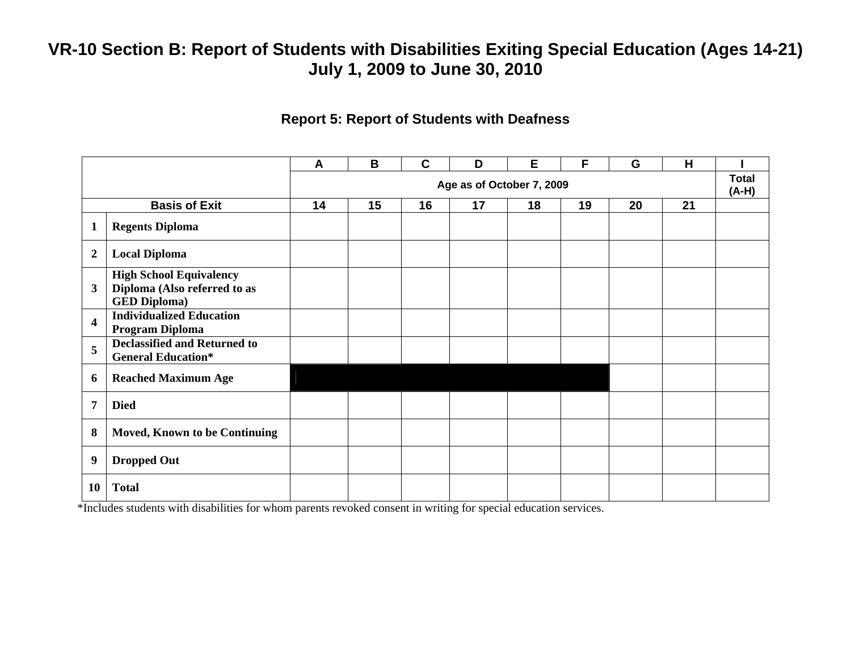#### **Report 5: Report of Students with Deafness**

|                         |                                                                                       | A  | B  | $\mathbf C$ | D                         | Е  | F  | G  | H  |                         |
|-------------------------|---------------------------------------------------------------------------------------|----|----|-------------|---------------------------|----|----|----|----|-------------------------|
|                         |                                                                                       |    |    |             | Age as of October 7, 2009 |    |    |    |    | <b>Total</b><br>$(A-H)$ |
|                         | <b>Basis of Exit</b>                                                                  | 14 | 15 | 16          | 17                        | 18 | 19 | 20 | 21 |                         |
| $\mathbf{1}$            | <b>Regents Diploma</b>                                                                |    |    |             |                           |    |    |    |    |                         |
| $\overline{2}$          | <b>Local Diploma</b>                                                                  |    |    |             |                           |    |    |    |    |                         |
| 3                       | <b>High School Equivalency</b><br>Diploma (Also referred to as<br><b>GED Diploma)</b> |    |    |             |                           |    |    |    |    |                         |
| $\overline{\mathbf{4}}$ | <b>Individualized Education</b><br>Program Diploma                                    |    |    |             |                           |    |    |    |    |                         |
| 5                       | <b>Declassified and Returned to</b><br><b>General Education*</b>                      |    |    |             |                           |    |    |    |    |                         |
| 6                       | <b>Reached Maximum Age</b>                                                            |    |    |             |                           |    |    |    |    |                         |
| $\overline{7}$          | <b>Died</b>                                                                           |    |    |             |                           |    |    |    |    |                         |
| 8                       | <b>Moved, Known to be Continuing</b>                                                  |    |    |             |                           |    |    |    |    |                         |
| 9                       | <b>Dropped Out</b>                                                                    |    |    |             |                           |    |    |    |    |                         |
| 10                      | <b>Total</b>                                                                          |    |    |             |                           |    |    |    |    |                         |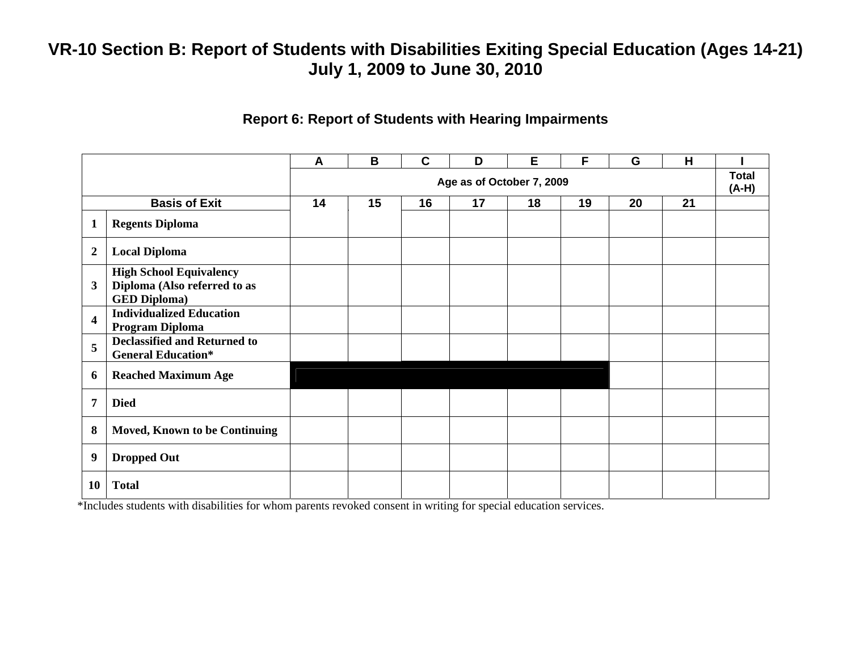#### **Report 6: Report of Students with Hearing Impairments**

|                  |                                                                                       | $\boldsymbol{A}$ | B  | $\mathbf c$ | D                         | E  | F  | G  | H  |                         |
|------------------|---------------------------------------------------------------------------------------|------------------|----|-------------|---------------------------|----|----|----|----|-------------------------|
|                  |                                                                                       |                  |    |             | Age as of October 7, 2009 |    |    |    |    | <b>Total</b><br>$(A-H)$ |
|                  | <b>Basis of Exit</b>                                                                  | 14               | 15 | 16          | 17                        | 18 | 19 | 20 | 21 |                         |
| 1                | <b>Regents Diploma</b>                                                                |                  |    |             |                           |    |    |    |    |                         |
| $\boldsymbol{2}$ | <b>Local Diploma</b>                                                                  |                  |    |             |                           |    |    |    |    |                         |
| $\mathbf{3}$     | <b>High School Equivalency</b><br>Diploma (Also referred to as<br><b>GED Diploma)</b> |                  |    |             |                           |    |    |    |    |                         |
| 4                | <b>Individualized Education</b><br>Program Diploma                                    |                  |    |             |                           |    |    |    |    |                         |
| 5                | <b>Declassified and Returned to</b><br><b>General Education*</b>                      |                  |    |             |                           |    |    |    |    |                         |
| 6                | <b>Reached Maximum Age</b>                                                            |                  |    |             |                           |    |    |    |    |                         |
| 7                | <b>Died</b>                                                                           |                  |    |             |                           |    |    |    |    |                         |
| 8                | <b>Moved, Known to be Continuing</b>                                                  |                  |    |             |                           |    |    |    |    |                         |
| 9                | <b>Dropped Out</b>                                                                    |                  |    |             |                           |    |    |    |    |                         |
| <b>10</b>        | <b>Total</b>                                                                          |                  |    |             |                           |    |    |    |    |                         |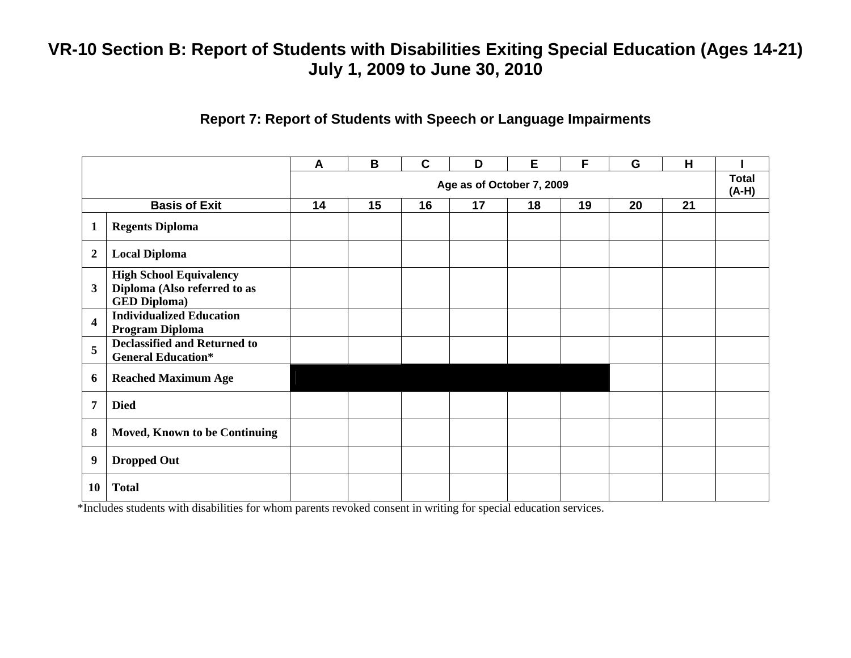#### **Report 7: Report of Students with Speech or Language Impairments**

|                         |                                                                                       | A  | B  | $\mathbf c$ | D                         | E  | F  | G  | H  |                         |
|-------------------------|---------------------------------------------------------------------------------------|----|----|-------------|---------------------------|----|----|----|----|-------------------------|
|                         |                                                                                       |    |    |             | Age as of October 7, 2009 |    |    |    |    | <b>Total</b><br>$(A-H)$ |
|                         | <b>Basis of Exit</b>                                                                  | 14 | 15 | 16          | 17                        | 18 | 19 | 20 | 21 |                         |
| $\mathbf{1}$            | <b>Regents Diploma</b>                                                                |    |    |             |                           |    |    |    |    |                         |
| $\overline{2}$          | <b>Local Diploma</b>                                                                  |    |    |             |                           |    |    |    |    |                         |
| $\mathbf{3}$            | <b>High School Equivalency</b><br>Diploma (Also referred to as<br><b>GED Diploma)</b> |    |    |             |                           |    |    |    |    |                         |
| $\overline{\mathbf{4}}$ | <b>Individualized Education</b><br>Program Diploma                                    |    |    |             |                           |    |    |    |    |                         |
| 5                       | <b>Declassified and Returned to</b><br><b>General Education*</b>                      |    |    |             |                           |    |    |    |    |                         |
| 6                       | <b>Reached Maximum Age</b>                                                            |    |    |             |                           |    |    |    |    |                         |
| $\overline{7}$          | <b>Died</b>                                                                           |    |    |             |                           |    |    |    |    |                         |
| 8                       | Moved, Known to be Continuing                                                         |    |    |             |                           |    |    |    |    |                         |
| 9                       | <b>Dropped Out</b>                                                                    |    |    |             |                           |    |    |    |    |                         |
| 10                      | <b>Total</b>                                                                          |    |    |             |                           |    |    |    |    |                         |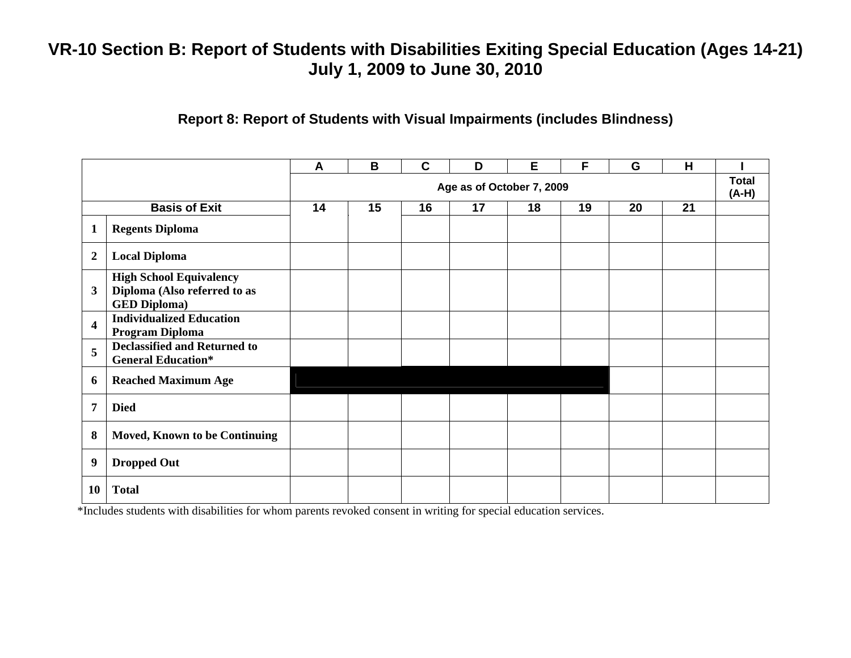### **Report 8: Report of Students with Visual Impairments (includes Blindness)**

|                         |                                                                                       | A  | B  | $\mathbf C$ | D                         | Е  | F  | G  | H  |                         |
|-------------------------|---------------------------------------------------------------------------------------|----|----|-------------|---------------------------|----|----|----|----|-------------------------|
|                         |                                                                                       |    |    |             | Age as of October 7, 2009 |    |    |    |    | <b>Total</b><br>$(A-H)$ |
|                         | <b>Basis of Exit</b>                                                                  | 14 | 15 | 16          | 17                        | 18 | 19 | 20 | 21 |                         |
| $\mathbf{1}$            | <b>Regents Diploma</b>                                                                |    |    |             |                           |    |    |    |    |                         |
| $\boldsymbol{2}$        | <b>Local Diploma</b>                                                                  |    |    |             |                           |    |    |    |    |                         |
| $\mathbf{3}$            | <b>High School Equivalency</b><br>Diploma (Also referred to as<br><b>GED Diploma)</b> |    |    |             |                           |    |    |    |    |                         |
| $\overline{\mathbf{4}}$ | <b>Individualized Education</b><br>Program Diploma                                    |    |    |             |                           |    |    |    |    |                         |
| 5                       | <b>Declassified and Returned to</b><br><b>General Education*</b>                      |    |    |             |                           |    |    |    |    |                         |
| 6                       | <b>Reached Maximum Age</b>                                                            |    |    |             |                           |    |    |    |    |                         |
| 7                       | <b>Died</b>                                                                           |    |    |             |                           |    |    |    |    |                         |
| 8                       | Moved, Known to be Continuing                                                         |    |    |             |                           |    |    |    |    |                         |
| 9                       | <b>Dropped Out</b>                                                                    |    |    |             |                           |    |    |    |    |                         |
| 10                      | <b>Total</b>                                                                          |    |    |             |                           |    |    |    |    |                         |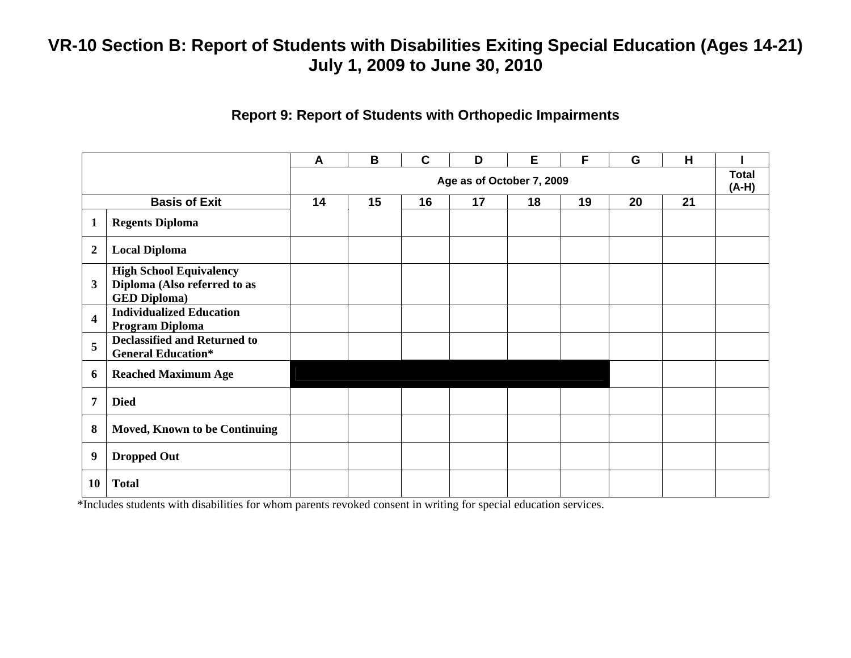#### **Report 9: Report of Students with Orthopedic Impairments**

|                         |                                                                                       | A  | B  | $\mathbf c$ | D                         | E  | F  | G  | H  |                         |
|-------------------------|---------------------------------------------------------------------------------------|----|----|-------------|---------------------------|----|----|----|----|-------------------------|
|                         |                                                                                       |    |    |             | Age as of October 7, 2009 |    |    |    |    | <b>Total</b><br>$(A-H)$ |
|                         | <b>Basis of Exit</b>                                                                  | 14 | 15 | 16          | 17                        | 18 | 19 | 20 | 21 |                         |
| $\mathbf{1}$            | <b>Regents Diploma</b>                                                                |    |    |             |                           |    |    |    |    |                         |
| $\boldsymbol{2}$        | <b>Local Diploma</b>                                                                  |    |    |             |                           |    |    |    |    |                         |
| 3                       | <b>High School Equivalency</b><br>Diploma (Also referred to as<br><b>GED Diploma)</b> |    |    |             |                           |    |    |    |    |                         |
| $\overline{\mathbf{4}}$ | <b>Individualized Education</b><br>Program Diploma                                    |    |    |             |                           |    |    |    |    |                         |
| 5                       | <b>Declassified and Returned to</b><br><b>General Education*</b>                      |    |    |             |                           |    |    |    |    |                         |
| 6                       | <b>Reached Maximum Age</b>                                                            |    |    |             |                           |    |    |    |    |                         |
| 7                       | <b>Died</b>                                                                           |    |    |             |                           |    |    |    |    |                         |
| 8                       | <b>Moved, Known to be Continuing</b>                                                  |    |    |             |                           |    |    |    |    |                         |
| 9                       | <b>Dropped Out</b>                                                                    |    |    |             |                           |    |    |    |    |                         |
| 10                      | <b>Total</b>                                                                          |    |    |             |                           |    |    |    |    |                         |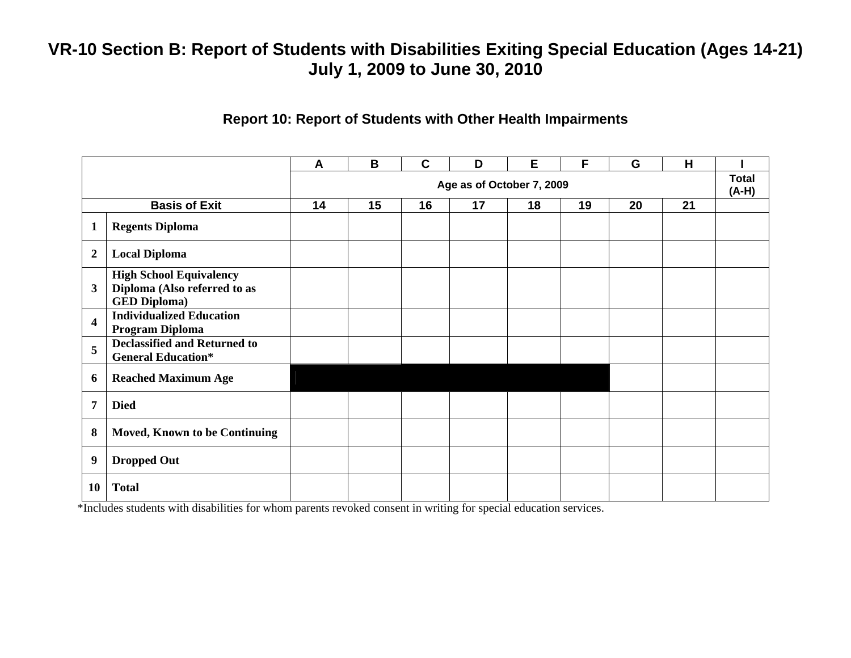#### **Report 10: Report of Students with Other Health Impairments**

|                         |                                                                                       | A  | B  | $\mathbf C$ | D                         | E  | F  | G  | H  |                         |
|-------------------------|---------------------------------------------------------------------------------------|----|----|-------------|---------------------------|----|----|----|----|-------------------------|
|                         |                                                                                       |    |    |             | Age as of October 7, 2009 |    |    |    |    | <b>Total</b><br>$(A-H)$ |
|                         | <b>Basis of Exit</b>                                                                  | 14 | 15 | 16          | 17                        | 18 | 19 | 20 | 21 |                         |
| $\mathbf{1}$            | <b>Regents Diploma</b>                                                                |    |    |             |                           |    |    |    |    |                         |
| $\overline{2}$          | <b>Local Diploma</b>                                                                  |    |    |             |                           |    |    |    |    |                         |
| $\mathbf{3}$            | <b>High School Equivalency</b><br>Diploma (Also referred to as<br><b>GED Diploma)</b> |    |    |             |                           |    |    |    |    |                         |
| $\overline{\mathbf{4}}$ | <b>Individualized Education</b><br>Program Diploma                                    |    |    |             |                           |    |    |    |    |                         |
| 5                       | <b>Declassified and Returned to</b><br><b>General Education*</b>                      |    |    |             |                           |    |    |    |    |                         |
| 6                       | <b>Reached Maximum Age</b>                                                            |    |    |             |                           |    |    |    |    |                         |
| $\overline{7}$          | <b>Died</b>                                                                           |    |    |             |                           |    |    |    |    |                         |
| 8                       | Moved, Known to be Continuing                                                         |    |    |             |                           |    |    |    |    |                         |
| 9                       | <b>Dropped Out</b>                                                                    |    |    |             |                           |    |    |    |    |                         |
| 10                      | <b>Total</b>                                                                          |    |    |             |                           |    |    |    |    |                         |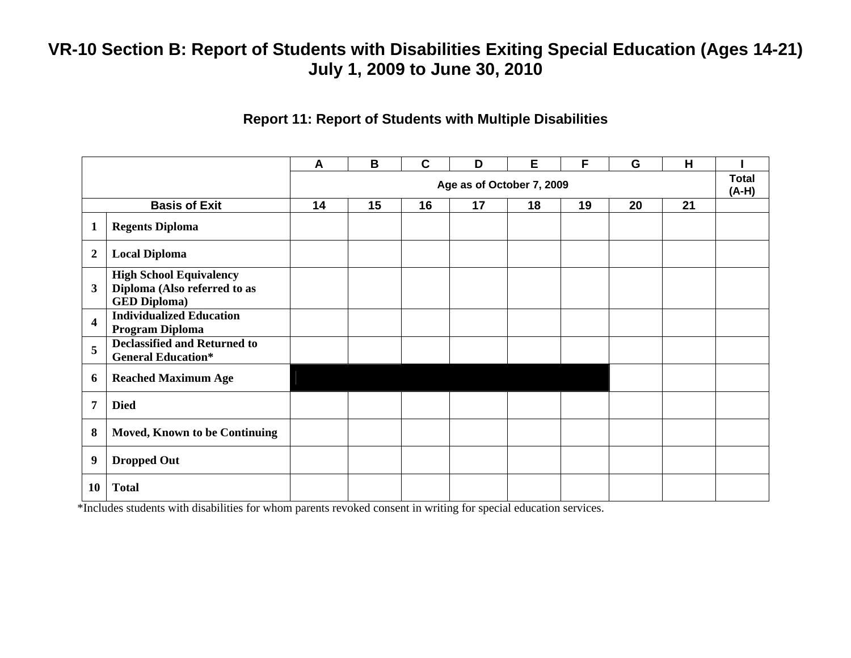#### **Report 11: Report of Students with Multiple Disabilities**

|                         |                                                                                       | $\mathsf{A}$ | B  | $\mathbf C$ | D  | Е  | F  | G  | H  |                       |
|-------------------------|---------------------------------------------------------------------------------------|--------------|----|-------------|----|----|----|----|----|-----------------------|
|                         | Age as of October 7, 2009                                                             |              |    |             |    |    |    |    |    | <b>Total</b><br>(A-H) |
|                         | <b>Basis of Exit</b>                                                                  | 14           | 15 | 16          | 17 | 18 | 19 | 20 | 21 |                       |
| $\mathbf{1}$            | <b>Regents Diploma</b>                                                                |              |    |             |    |    |    |    |    |                       |
| $\overline{2}$          | <b>Local Diploma</b>                                                                  |              |    |             |    |    |    |    |    |                       |
| $\mathbf{3}$            | <b>High School Equivalency</b><br>Diploma (Also referred to as<br><b>GED Diploma)</b> |              |    |             |    |    |    |    |    |                       |
| $\overline{\mathbf{4}}$ | <b>Individualized Education</b><br>Program Diploma                                    |              |    |             |    |    |    |    |    |                       |
| 5                       | <b>Declassified and Returned to</b><br><b>General Education*</b>                      |              |    |             |    |    |    |    |    |                       |
| 6                       | <b>Reached Maximum Age</b>                                                            |              |    |             |    |    |    |    |    |                       |
| $\overline{7}$          | <b>Died</b>                                                                           |              |    |             |    |    |    |    |    |                       |
| 8                       | <b>Moved, Known to be Continuing</b>                                                  |              |    |             |    |    |    |    |    |                       |
| 9                       | <b>Dropped Out</b>                                                                    |              |    |             |    |    |    |    |    |                       |
| 10                      | <b>Total</b>                                                                          |              |    |             |    |    |    |    |    |                       |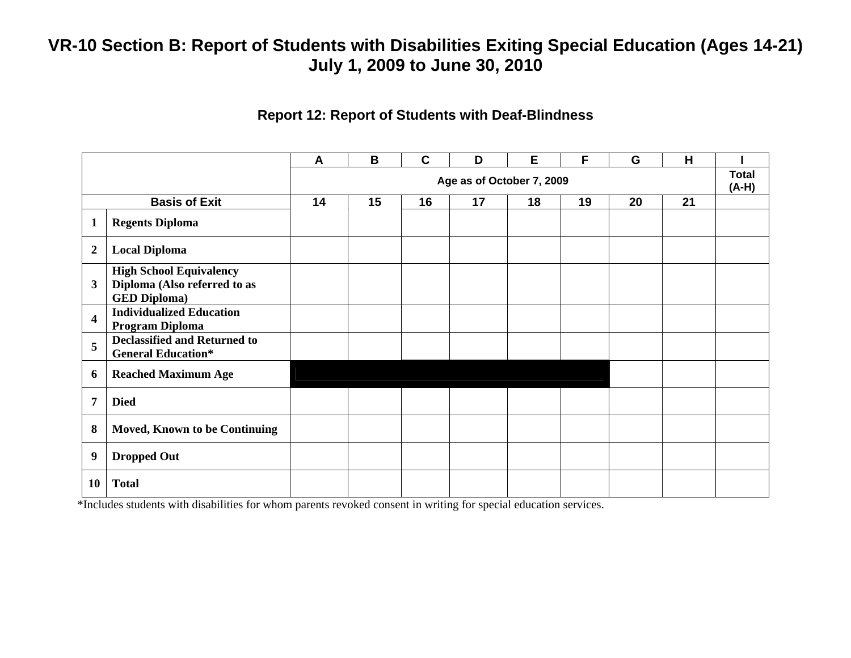#### **Report 12: Report of Students with Deaf-Blindness**

|                         |                                                                                       | A                         | B  | $\mathbf{C}$ | D  | E  | F  | G  | H  |  |
|-------------------------|---------------------------------------------------------------------------------------|---------------------------|----|--------------|----|----|----|----|----|--|
|                         |                                                                                       | Age as of October 7, 2009 |    |              |    |    |    |    |    |  |
|                         | <b>Basis of Exit</b>                                                                  | 14                        | 15 | 16           | 17 | 18 | 19 | 20 | 21 |  |
| $\mathbf{1}$            | <b>Regents Diploma</b>                                                                |                           |    |              |    |    |    |    |    |  |
| $\boldsymbol{2}$        | <b>Local Diploma</b>                                                                  |                           |    |              |    |    |    |    |    |  |
| 3                       | <b>High School Equivalency</b><br>Diploma (Also referred to as<br><b>GED Diploma)</b> |                           |    |              |    |    |    |    |    |  |
| $\overline{\mathbf{4}}$ | <b>Individualized Education</b><br>Program Diploma                                    |                           |    |              |    |    |    |    |    |  |
| 5                       | <b>Declassified and Returned to</b><br><b>General Education*</b>                      |                           |    |              |    |    |    |    |    |  |
| 6                       | <b>Reached Maximum Age</b>                                                            |                           |    |              |    |    |    |    |    |  |
| 7                       | <b>Died</b>                                                                           |                           |    |              |    |    |    |    |    |  |
| 8                       | <b>Moved, Known to be Continuing</b>                                                  |                           |    |              |    |    |    |    |    |  |
| 9                       | <b>Dropped Out</b>                                                                    |                           |    |              |    |    |    |    |    |  |
| 10                      | <b>Total</b>                                                                          |                           |    |              |    |    |    |    |    |  |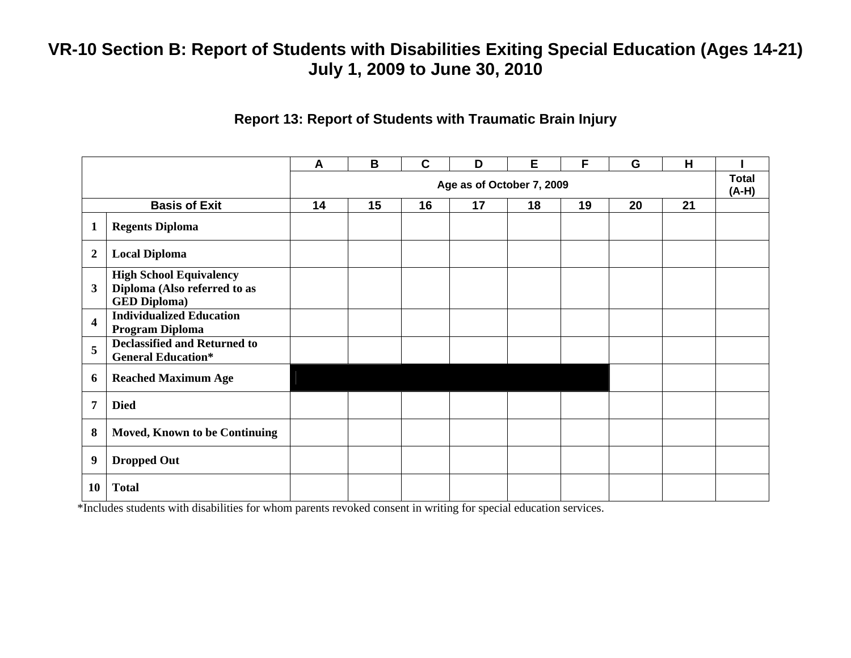#### **Report 13: Report of Students with Traumatic Brain Injury**

|                         |                                                                                       | A                         | B  | $\mathbf c$ | D  | E  | F  | G  | H  |  |  |
|-------------------------|---------------------------------------------------------------------------------------|---------------------------|----|-------------|----|----|----|----|----|--|--|
|                         |                                                                                       | Age as of October 7, 2009 |    |             |    |    |    |    |    |  |  |
|                         | <b>Basis of Exit</b>                                                                  | 14                        | 15 | 16          | 17 | 18 | 19 | 20 | 21 |  |  |
| $\mathbf{1}$            | <b>Regents Diploma</b>                                                                |                           |    |             |    |    |    |    |    |  |  |
| $\boldsymbol{2}$        | <b>Local Diploma</b>                                                                  |                           |    |             |    |    |    |    |    |  |  |
| $\mathbf{3}$            | <b>High School Equivalency</b><br>Diploma (Also referred to as<br><b>GED Diploma)</b> |                           |    |             |    |    |    |    |    |  |  |
| $\overline{\mathbf{4}}$ | <b>Individualized Education</b><br>Program Diploma                                    |                           |    |             |    |    |    |    |    |  |  |
| 5                       | <b>Declassified and Returned to</b><br><b>General Education*</b>                      |                           |    |             |    |    |    |    |    |  |  |
| 6                       | <b>Reached Maximum Age</b>                                                            |                           |    |             |    |    |    |    |    |  |  |
| 7                       | <b>Died</b>                                                                           |                           |    |             |    |    |    |    |    |  |  |
| 8                       | <b>Moved, Known to be Continuing</b>                                                  |                           |    |             |    |    |    |    |    |  |  |
| 9                       | <b>Dropped Out</b>                                                                    |                           |    |             |    |    |    |    |    |  |  |
| 10                      | <b>Total</b>                                                                          |                           |    |             |    |    |    |    |    |  |  |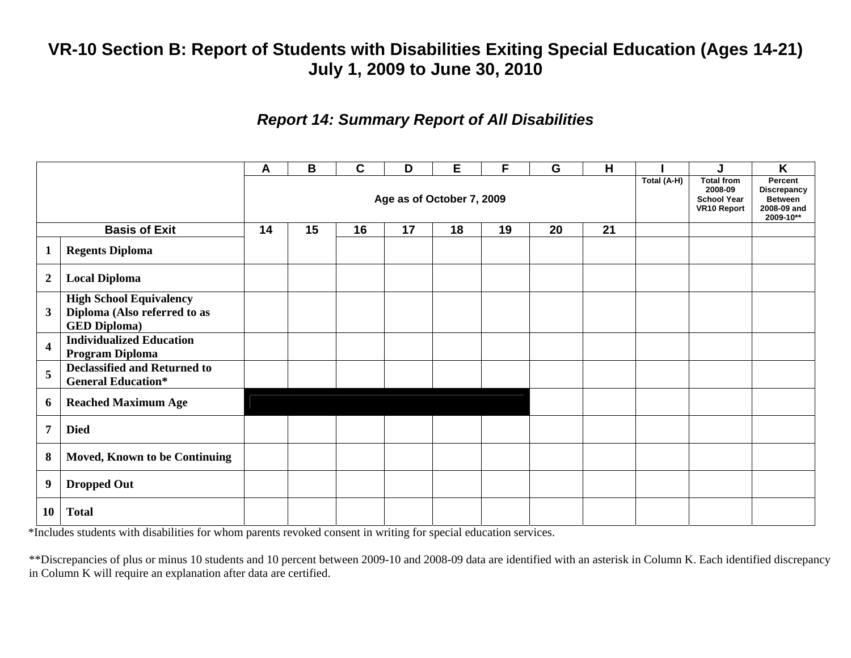### *Report 14: Summary Report of All Disabilities*

|                           |                                                                                       | A  | B  | C  | D  | Е  | F  | G           | H                                                                        |                                                                             | J | K |
|---------------------------|---------------------------------------------------------------------------------------|----|----|----|----|----|----|-------------|--------------------------------------------------------------------------|-----------------------------------------------------------------------------|---|---|
| Age as of October 7, 2009 |                                                                                       |    |    |    |    |    |    | Total (A-H) | <b>Total from</b><br>2008-09<br><b>School Year</b><br><b>VR10 Report</b> | Percent<br><b>Discrepancy</b><br><b>Between</b><br>2008-09 and<br>2009-10** |   |   |
|                           | <b>Basis of Exit</b>                                                                  | 14 | 15 | 16 | 17 | 18 | 19 | 20          | 21                                                                       |                                                                             |   |   |
| $\mathbf 1$               | <b>Regents Diploma</b>                                                                |    |    |    |    |    |    |             |                                                                          |                                                                             |   |   |
| $\overline{2}$            | <b>Local Diploma</b>                                                                  |    |    |    |    |    |    |             |                                                                          |                                                                             |   |   |
| $\mathbf{3}$              | <b>High School Equivalency</b><br>Diploma (Also referred to as<br><b>GED Diploma)</b> |    |    |    |    |    |    |             |                                                                          |                                                                             |   |   |
| $\overline{\mathbf{4}}$   | <b>Individualized Education</b><br>Program Diploma                                    |    |    |    |    |    |    |             |                                                                          |                                                                             |   |   |
| 5                         | <b>Declassified and Returned to</b><br><b>General Education*</b>                      |    |    |    |    |    |    |             |                                                                          |                                                                             |   |   |
| 6                         | <b>Reached Maximum Age</b>                                                            |    |    |    |    |    |    |             |                                                                          |                                                                             |   |   |
| $\overline{7}$            | <b>Died</b>                                                                           |    |    |    |    |    |    |             |                                                                          |                                                                             |   |   |
| 8                         | <b>Moved, Known to be Continuing</b>                                                  |    |    |    |    |    |    |             |                                                                          |                                                                             |   |   |
| 9                         | <b>Dropped Out</b>                                                                    |    |    |    |    |    |    |             |                                                                          |                                                                             |   |   |
| <b>10</b>                 | <b>Total</b>                                                                          |    |    |    |    |    |    |             |                                                                          |                                                                             |   |   |

\*Includes students with disabilities for whom parents revoked consent in writing for special education services.

\*\*Discrepancies of plus or minus 10 students and 10 percent between 2009-10 and 2008-09 data are identified with an asterisk in Column K. Each identified discrepancy in Column K will require an explanation after data are certified.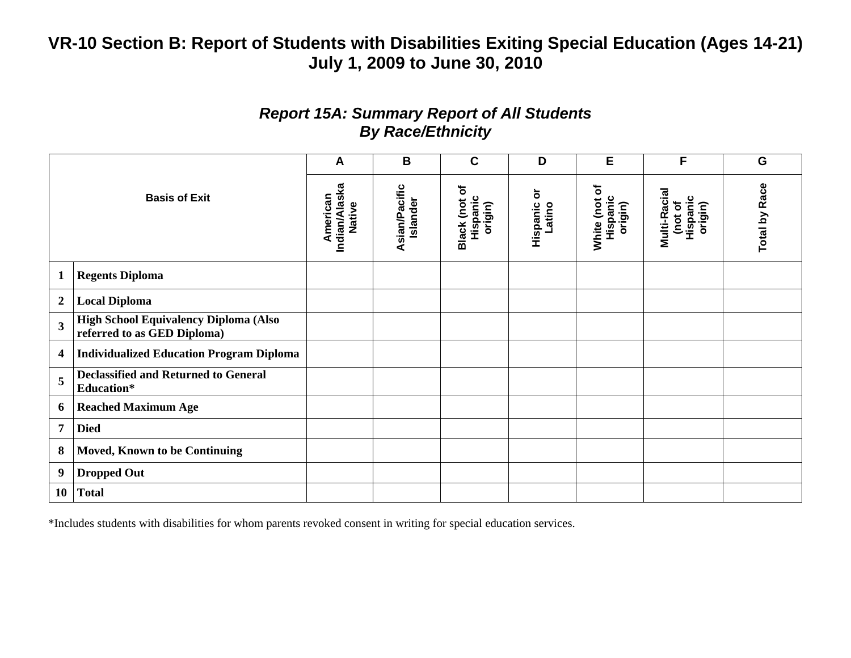### *Report 15A: Summary Report of All Students By Race/Ethnicity*

|                         |                                                                      | A                                   | B                         | $\mathbf c$                            | D                       | Е                                    | F                                              | G                    |
|-------------------------|----------------------------------------------------------------------|-------------------------------------|---------------------------|----------------------------------------|-------------------------|--------------------------------------|------------------------------------------------|----------------------|
| <b>Basis of Exit</b>    |                                                                      | Indian/Alaska<br>American<br>Native | Asian/Pacific<br>Islander | ৳<br>Hispanic<br>Black (not<br>origin) | ŏ<br>Hispanic<br>Latino | White (not of<br>Hispanic<br>origin) | Multi-Racial<br>Hispanic<br>(not of<br>origin) | <b>Total by Race</b> |
| $\mathbf{1}$            | <b>Regents Diploma</b>                                               |                                     |                           |                                        |                         |                                      |                                                |                      |
| $\boldsymbol{2}$        | <b>Local Diploma</b>                                                 |                                     |                           |                                        |                         |                                      |                                                |                      |
| $\overline{\mathbf{3}}$ | High School Equivalency Diploma (Also<br>referred to as GED Diploma) |                                     |                           |                                        |                         |                                      |                                                |                      |
| 4                       | <b>Individualized Education Program Diploma</b>                      |                                     |                           |                                        |                         |                                      |                                                |                      |
| 5                       | <b>Declassified and Returned to General</b><br><b>Education*</b>     |                                     |                           |                                        |                         |                                      |                                                |                      |
| 6                       | <b>Reached Maximum Age</b>                                           |                                     |                           |                                        |                         |                                      |                                                |                      |
| $\overline{7}$          | <b>Died</b>                                                          |                                     |                           |                                        |                         |                                      |                                                |                      |
| 8                       | <b>Moved, Known to be Continuing</b>                                 |                                     |                           |                                        |                         |                                      |                                                |                      |
| 9                       | <b>Dropped Out</b>                                                   |                                     |                           |                                        |                         |                                      |                                                |                      |
| 10                      | <b>Total</b>                                                         |                                     |                           |                                        |                         |                                      |                                                |                      |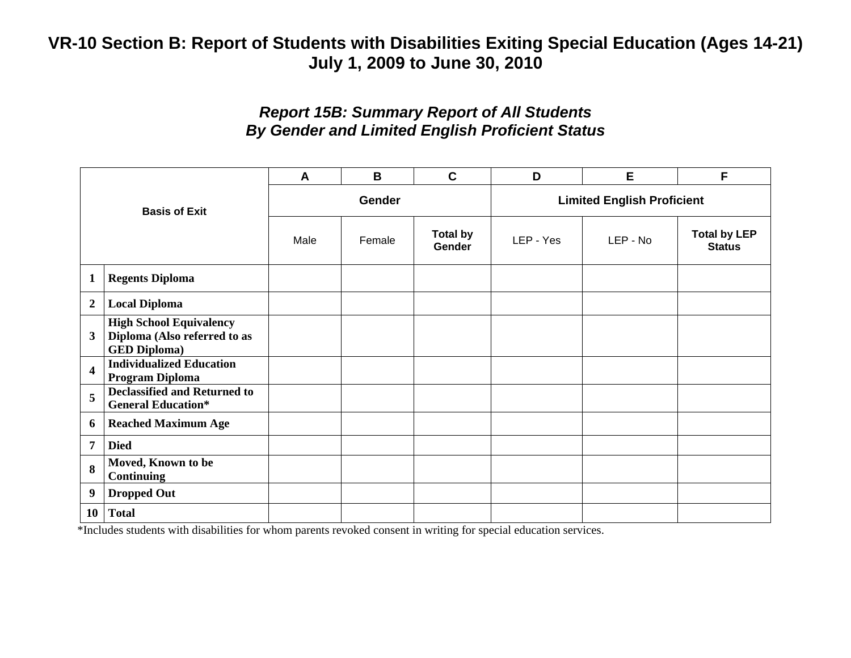### *Report 15B: Summary Report of All Students By Gender and Limited English Proficient Status*

| <b>Basis of Exit</b>    |                                                                                       | A    | B             | $\mathbf C$                      | D                                 | Е        |                                      |  |  |
|-------------------------|---------------------------------------------------------------------------------------|------|---------------|----------------------------------|-----------------------------------|----------|--------------------------------------|--|--|
|                         |                                                                                       |      | <b>Gender</b> |                                  | <b>Limited English Proficient</b> |          |                                      |  |  |
|                         |                                                                                       | Male | Female        | <b>Total by</b><br><b>Gender</b> | LEP - Yes                         | LEP - No | <b>Total by LEP</b><br><b>Status</b> |  |  |
| $\mathbf{1}$            | <b>Regents Diploma</b>                                                                |      |               |                                  |                                   |          |                                      |  |  |
| $\boldsymbol{2}$        | <b>Local Diploma</b>                                                                  |      |               |                                  |                                   |          |                                      |  |  |
| 3                       | <b>High School Equivalency</b><br>Diploma (Also referred to as<br><b>GED Diploma)</b> |      |               |                                  |                                   |          |                                      |  |  |
| $\overline{\mathbf{4}}$ | <b>Individualized Education</b><br>Program Diploma                                    |      |               |                                  |                                   |          |                                      |  |  |
| 5                       | <b>Declassified and Returned to</b><br><b>General Education*</b>                      |      |               |                                  |                                   |          |                                      |  |  |
| 6                       | <b>Reached Maximum Age</b>                                                            |      |               |                                  |                                   |          |                                      |  |  |
| 7                       | <b>Died</b>                                                                           |      |               |                                  |                                   |          |                                      |  |  |
| 8                       | Moved, Known to be<br><b>Continuing</b>                                               |      |               |                                  |                                   |          |                                      |  |  |
| 9                       | <b>Dropped Out</b>                                                                    |      |               |                                  |                                   |          |                                      |  |  |
| <b>10</b>               | <b>Total</b>                                                                          |      |               |                                  |                                   |          |                                      |  |  |